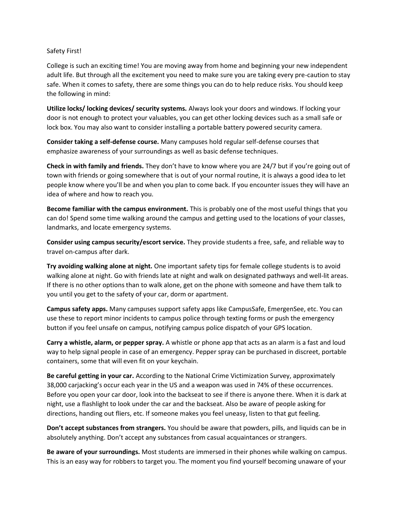Safety First!

College is such an exciting time! You are moving away from home and beginning your new independent adult life. But through all the excitement you need to make sure you are taking every pre-caution to stay safe. When it comes to safety, there are some things you can do to help reduce risks. You should keep the following in mind:

**Utilize locks/ locking devices/ security systems.** Always look your doors and windows. If locking your door is not enough to protect your valuables, you can get other locking devices such as a small safe or lock box. You may also want to consider installing a portable battery powered security camera.

**Consider taking a self-defense course.** Many campuses hold regular self-defense courses that emphasize awareness of your surroundings as well as basic defense techniques.

**Check in with family and friends.** They don't have to know where you are 24/7 but if you're going out of town with friends or going somewhere that is out of your normal routine, it is always a good idea to let people know where you'll be and when you plan to come back. If you encounter issues they will have an idea of where and how to reach you.

**Become familiar with the campus environment.** This is probably one of the most useful things that you can do! Spend some time walking around the campus and getting used to the locations of your classes, landmarks, and locate emergency systems.

**Consider using campus security/escort service.** They provide students a free, safe, and reliable way to travel on-campus after dark.

**Try avoiding walking alone at night.** One important safety tips for female college students is to avoid walking alone at night. Go with friends late at night and walk on designated pathways and well-lit areas. If there is no other options than to walk alone, get on the phone with someone and have them talk to you until you get to the safety of your car, dorm or apartment.

**Campus safety apps.** Many campuses support safety apps like CampusSafe, EmergenSee, etc. You can use these to report minor incidents to campus police through texting forms or push the emergency button if you feel unsafe on campus, notifying campus police dispatch of your GPS location.

**Carry a whistle, alarm, or pepper spray.** A whistle or phone app that acts as an alarm is a fast and loud way to help signal people in case of an emergency. Pepper spray can be purchased in discreet, portable containers, some that will even fit on your keychain.

**Be careful getting in your car.** According to the National Crime Victimization Survey, approximately 38,000 carjacking's occur each year in the US and a weapon was used in 74% of these occurrences. Before you open your car door, look into the backseat to see if there is anyone there. When it is dark at night, use a flashlight to look under the car and the backseat. Also be aware of people asking for directions, handing out fliers, etc. If someone makes you feel uneasy, listen to that gut feeling.

**Don't accept substances from strangers.** You should be aware that powders, pills, and liquids can be in absolutely anything. Don't accept any substances from casual acquaintances or strangers.

**Be aware of your surroundings.** Most students are immersed in their phones while walking on campus. This is an easy way for robbers to target you. The moment you find yourself becoming unaware of your